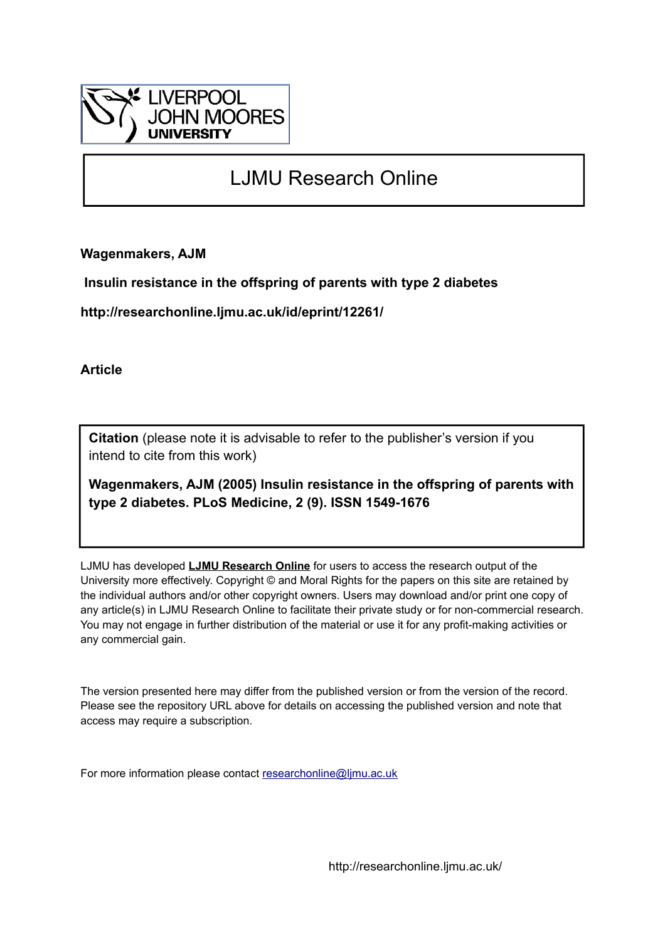

## LJMU Research Online

**Wagenmakers, AJM**

 **Insulin resistance in the offspring of parents with type 2 diabetes**

**http://researchonline.ljmu.ac.uk/id/eprint/12261/**

**Article**

**Citation** (please note it is advisable to refer to the publisher's version if you intend to cite from this work)

**Wagenmakers, AJM (2005) Insulin resistance in the offspring of parents with type 2 diabetes. PLoS Medicine, 2 (9). ISSN 1549-1676** 

LJMU has developed **[LJMU Research Online](http://researchonline.ljmu.ac.uk/)** for users to access the research output of the University more effectively. Copyright © and Moral Rights for the papers on this site are retained by the individual authors and/or other copyright owners. Users may download and/or print one copy of any article(s) in LJMU Research Online to facilitate their private study or for non-commercial research. You may not engage in further distribution of the material or use it for any profit-making activities or any commercial gain.

The version presented here may differ from the published version or from the version of the record. Please see the repository URL above for details on accessing the published version and note that access may require a subscription.

For more information please contact [researchonline@ljmu.ac.uk](mailto:researchonline@ljmu.ac.uk)

http://researchonline.ljmu.ac.uk/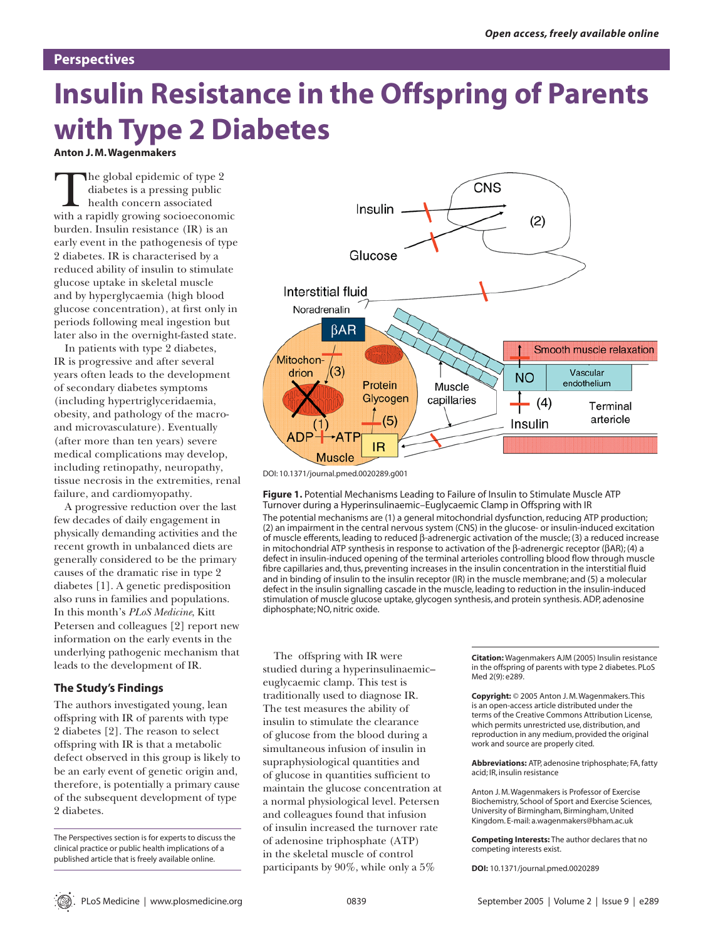#### **Perspectives**

# **Insulin Resistance in the Offspring of Parents with Type 2 Diabetes**

**Anton J. M. Wagenmakers**

The global epidemic of type 2 diabetes is a pressing public health concern associated with a rapidly growing socioeconomic burden. Insulin resistance (IR) is an early event in the pathogenesis of type 2 diabetes. IR is characterised by a reduced ability of insulin to stimulate glucose uptake in skeletal muscle and by hyperglycaemia (high blood glucose concentration), at first only in periods following meal ingestion but later also in the overnight-fasted state.

In patients with type 2 diabetes, IR is progressive and after several years often leads to the development of secondary diabetes symptoms (including hypertriglyceridaemia, obesity, and pathology of the macroand microvasculature). Eventually (after more than ten years) severe medical complications may develop, including retinopathy, neuropathy, tissue necrosis in the extremities, renal failure, and cardiomyopathy.

A progressive reduction over the last few decades of daily engagement in physically demanding activities and the recent growth in unbalanced diets are generally considered to be the primary causes of the dramatic rise in type 2 diabetes [1]. A genetic predisposition also runs in families and populations. In this month's *PLoS Medicine*, Kitt Petersen and colleagues [2] report new information on the early events in the underlying pathogenic mechanism that leads to the development of IR.

#### **The Study's Findings**

The authors investigated young, lean offspring with IR of parents with type 2 diabetes [2]. The reason to select offspring with IR is that a metabolic defect observed in this group is likely to be an early event of genetic origin and, therefore, is potentially a primary cause of the subsequent development of type 2 diabetes.

The Perspectives section is for experts to discuss the clinical practice or public health implications of a published article that is freely available online.



DOI: 10.1371/journal.pmed.0020289.g001

diphosphate; NO, nitric oxide.

**Figure 1.** Potential Mechanisms Leading to Failure of Insulin to Stimulate Muscle ATP Turnover during a Hyperinsulinaemic–Euglycaemic Clamp in Offspring with IR The potential mechanisms are (1) a general mitochondrial dysfunction, reducing ATP production; (2) an impairment in the central nervous system (CNS) in the glucose- or insulin-induced excitation of muscle efferents, leading to reduced β-adrenergic activation of the muscle; (3) a reduced increase in mitochondrial ATP synthesis in response to activation of the β-adrenergic receptor (βAR); (4) a defect in insulin-induced opening of the terminal arterioles controlling blood flow through muscle fibre capillaries and, thus, preventing increases in the insulin concentration in the interstitial fluid and in binding of insulin to the insulin receptor (IR) in the muscle membrane; and (5) a molecular defect in the insulin signalling cascade in the muscle, leading to reduction in the insulin-induced

stimulation of muscle glucose uptake, glycogen synthesis, and protein synthesis. ADP, adenosine

The offspring with IR were studied during a hyperinsulinaemic– euglycaemic clamp. This test is traditionally used to diagnose IR. The test measures the ability of insulin to stimulate the clearance of glucose from the blood during a simultaneous infusion of insulin in supraphysiological quantities and of glucose in quantities sufficient to maintain the glucose concentration at a normal physiological level. Petersen and colleagues found that infusion of insulin increased the turnover rate of adenosine triphosphate (ATP) in the skeletal muscle of control participants by 90%, while only a 5%

**Citation:** Wagenmakers AJM (2005) Insulin resistance in the offspring of parents with type 2 diabetes. PLoS Med 2(9): e289.

**Copyright:** © 2005 Anton J. M. Wagenmakers. This is an open-access article distributed under the terms of the Creative Commons Attribution License, which permits unrestricted use, distribution, and reproduction in any medium, provided the original work and source are properly cited.

**Abbreviations:** ATP, adenosine triphosphate; FA, fatty acid; IR, insulin resistance

Anton J. M. Wagenmakers is Professor of Exercise Biochemistry, School of Sport and Exercise Sciences, University of Birmingham, Birmingham, United Kingdom. E-mail: a.wagenmakers@bham.ac.uk

**Competing Interests:** The author declares that no competing interests exist.

**DOI:** 10.1371/journal.pmed.0020289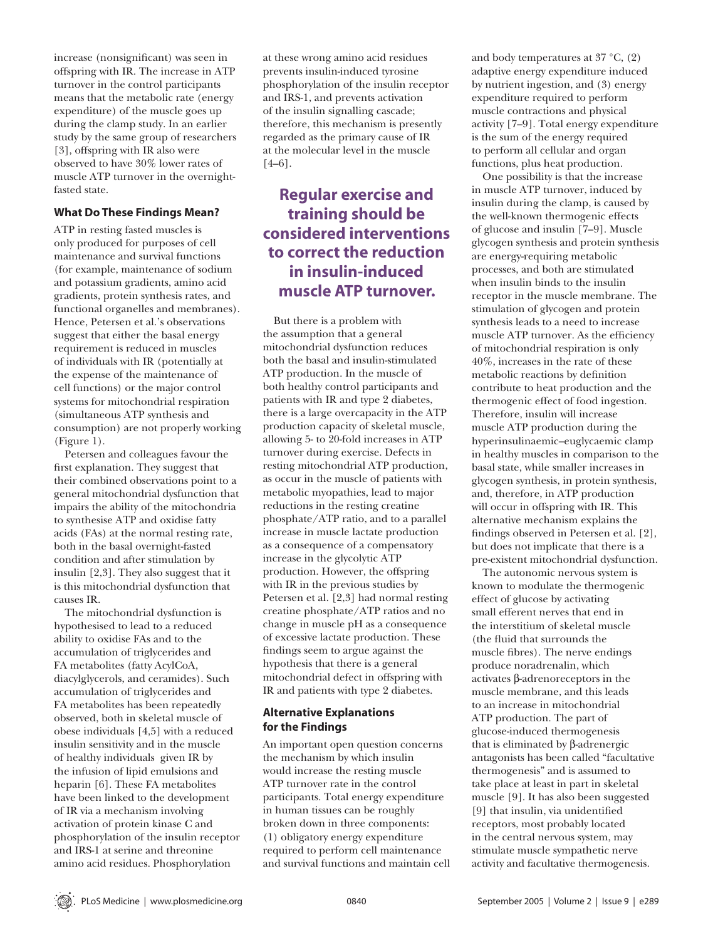increase (nonsignificant) was seen in offspring with IR. The increase in ATP turnover in the control participants means that the metabolic rate (energy expenditure) of the muscle goes up during the clamp study. In an earlier study by the same group of researchers [3], offspring with IR also were observed to have 30% lower rates of muscle ATP turnover in the overnightfasted state.

#### **What Do These Findings Mean?**

ATP in resting fasted muscles is only produced for purposes of cell maintenance and survival functions (for example, maintenance of sodium and potassium gradients, amino acid gradients, protein synthesis rates, and functional organelles and membranes). Hence, Petersen et al.'s observations suggest that either the basal energy requirement is reduced in muscles of individuals with IR (potentially at the expense of the maintenance of cell functions) or the major control systems for mitochondrial respiration (simultaneous ATP synthesis and consumption) are not properly working (Figure 1).

Petersen and colleagues favour the first explanation. They suggest that their combined observations point to a general mitochondrial dysfunction that impairs the ability of the mitochondria to synthesise ATP and oxidise fatty acids (FAs) at the normal resting rate, both in the basal overnight-fasted condition and after stimulation by insulin [2,3]. They also suggest that it is this mitochondrial dysfunction that causes IR.

The mitochondrial dysfunction is hypothesised to lead to a reduced ability to oxidise FAs and to the accumulation of triglycerides and FA metabolites (fatty AcylCoA, diacylglycerols, and ceramides). Such accumulation of triglycerides and FA metabolites has been repeatedly observed, both in skeletal muscle of obese individuals [4,5] with a reduced insulin sensitivity and in the muscle of healthy individuals given IR by the infusion of lipid emulsions and heparin [6]. These FA metabolites have been linked to the development of IR via a mechanism involving activation of protein kinase C and phosphorylation of the insulin receptor and IRS-1 at serine and threonine amino acid residues. Phosphorylation

at these wrong amino acid residues prevents insulin-induced tyrosine phosphorylation of the insulin receptor and IRS-1, and prevents activation of the insulin signalling cascade; therefore, this mechanism is presently regarded as the primary cause of IR at the molecular level in the muscle [4–6].

### **Regular exercise and training should be considered interventions to correct the reduction in insulin-induced muscle ATP turnover.**

But there is a problem with the assumption that a general mitochondrial dysfunction reduces both the basal and insulin-stimulated ATP production. In the muscle of both healthy control participants and patients with IR and type 2 diabetes, there is a large overcapacity in the ATP production capacity of skeletal muscle, allowing 5- to 20-fold increases in ATP turnover during exercise. Defects in resting mitochondrial ATP production, as occur in the muscle of patients with metabolic myopathies, lead to major reductions in the resting creatine phosphate/ATP ratio, and to a parallel increase in muscle lactate production as a consequence of a compensatory increase in the glycolytic ATP production. However, the offspring with IR in the previous studies by Petersen et al. [2,3] had normal resting creatine phosphate/ATP ratios and no change in muscle pH as a consequence of excessive lactate production. These fi ndings seem to argue against the hypothesis that there is a general mitochondrial defect in offspring with IR and patients with type 2 diabetes.

#### **Alternative Explanations for the Findings**

An important open question concerns the mechanism by which insulin would increase the resting muscle ATP turnover rate in the control participants. Total energy expenditure in human tissues can be roughly broken down in three components: (1) obligatory energy expenditure required to perform cell maintenance and survival functions and maintain cell and body temperatures at 37 °C, (2) adaptive energy expenditure induced by nutrient ingestion, and (3) energy expenditure required to perform muscle contractions and physical activity [7–9]. Total energy expenditure is the sum of the energy required to perform all cellular and organ functions, plus heat production.

One possibility is that the increase in muscle ATP turnover, induced by insulin during the clamp, is caused by the well-known thermogenic effects of glucose and insulin [7–9]. Muscle glycogen synthesis and protein synthesis are energy-requiring metabolic processes, and both are stimulated when insulin binds to the insulin receptor in the muscle membrane. The stimulation of glycogen and protein synthesis leads to a need to increase muscle ATP turnover. As the efficiency of mitochondrial respiration is only 40%, increases in the rate of these metabolic reactions by definition contribute to heat production and the thermogenic effect of food ingestion. Therefore, insulin will increase muscle ATP production during the hyperinsulinaemic–euglycaemic clamp in healthy muscles in comparison to the basal state, while smaller increases in glycogen synthesis, in protein synthesis, and, therefore, in ATP production will occur in offspring with IR. This alternative mechanism explains the findings observed in Petersen et al. [2], but does not implicate that there is a pre-existent mitochondrial dysfunction.

The autonomic nervous system is known to modulate the thermogenic effect of glucose by activating small efferent nerves that end in the interstitium of skeletal muscle (the fluid that surrounds the muscle fibres). The nerve endings produce noradrenalin, which activates β-adrenoreceptors in the muscle membrane, and this leads to an increase in mitochondrial ATP production. The part of glucose-induced thermogenesis that is eliminated by β-adrenergic antagonists has been called "facultative thermogenesis" and is assumed to take place at least in part in skeletal muscle [9]. It has also been suggested [9] that insulin, via unidentified receptors, most probably located in the central nervous system, may stimulate muscle sympathetic nerve activity and facultative thermogenesis.